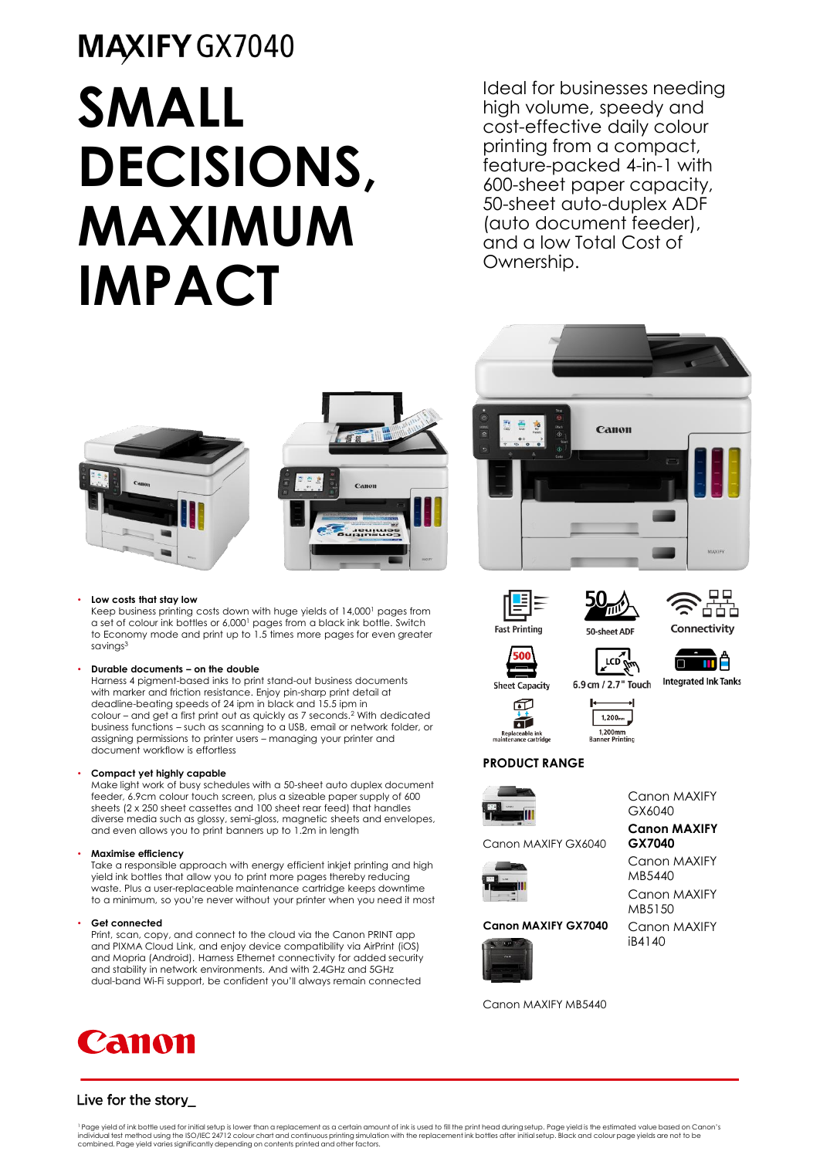# MAXIFY GX7040 **SMALL DECISIONS, MAXIMUM IMPACT**

Ideal for businesses needing high volume, speedy and cost-effective daily colour printing from a compact, feature-packed 4-in-1 with 600-sheet paper capacity, 50-sheet auto-duplex ADF (auto document feeder), and a low Total Cost of Ownership.





#### • **Low costs that stay low**

Keep business printing costs down with huge yields of 14,000<sup>1</sup> pages from a set of colour ink bottles or 6,000<sup>1</sup> pages from a black ink bottle. Switch to Economy mode and print up to 1.5 times more pages for even greater savings<sup>3</sup>

### • **Durable documents – on the double**

Harness 4 pigment-based inks to print stand-out business documents with marker and friction resistance. Enjoy pin-sharp print detail at deadline-beating speeds of 24 ipm in black and 15.5 ipm in colour – and get a first print out as quickly as 7 seconds.<sup>2</sup> With dedicated business functions – such as scanning to a USB, email or network folder, or assigning permissions to printer users – managing your printer and document workflow is effortless

### • **Compact yet highly capable**

Make light work of busy schedules with a 50-sheet auto duplex document feeder, 6.9cm colour touch screen, plus a sizeable paper supply of 600 sheets (2 x 250 sheet cassettes and 100 sheet rear feed) that handles diverse media such as glossy, semi-gloss, magnetic sheets and envelopes, and even allows you to print banners up to 1.2m in length

### • **Maximise efficiency**

Take a responsible approach with energy efficient inkjet printing and high yield ink bottles that allow you to print more pages thereby reducing waste. Plus a user-replaceable maintenance cartridge keeps downtime to a minimum, so you're never without your printer when you need it most

#### Get connected

Print, scan, copy, and connect to the cloud via the Canon PRINT app and PIXMA Cloud Link, and enjoy device compatibility via AirPrint (iOS) and Mopria (Android). Harness Ethernet connectivity for added security and stability in network environments. And with 2.4GHz and 5GHz dual-band Wi-Fi support, be confident you'll always remain connected











**Integrated Ink Tanks** 







Canon MAXIFY GX6040

**Canon MAXIFY GX7040** Canon MAXIFY MB5440

Canon MAXIFY MB5150

**Sheet Capacity** 田

ń

Replaceable ink<br>maintenance cartridge

6.9 cm / 2.7" Touch







## **PRODUCT RANGE**



Canon MAXIFY GX6040



## **Canon MAXIFY GX7040**



Canon MAXIFY iB4140

Canon MAXIFY MB5440



<sup>1</sup> Page yield of ink bottle used for initial setup is lower than a replacement as a certain amount of ink is used to fill the print head during setup. Page yield is the estimated value based on Canon's<br>individual test met combined. Page yield varies significantly depending on contents printed and other factors.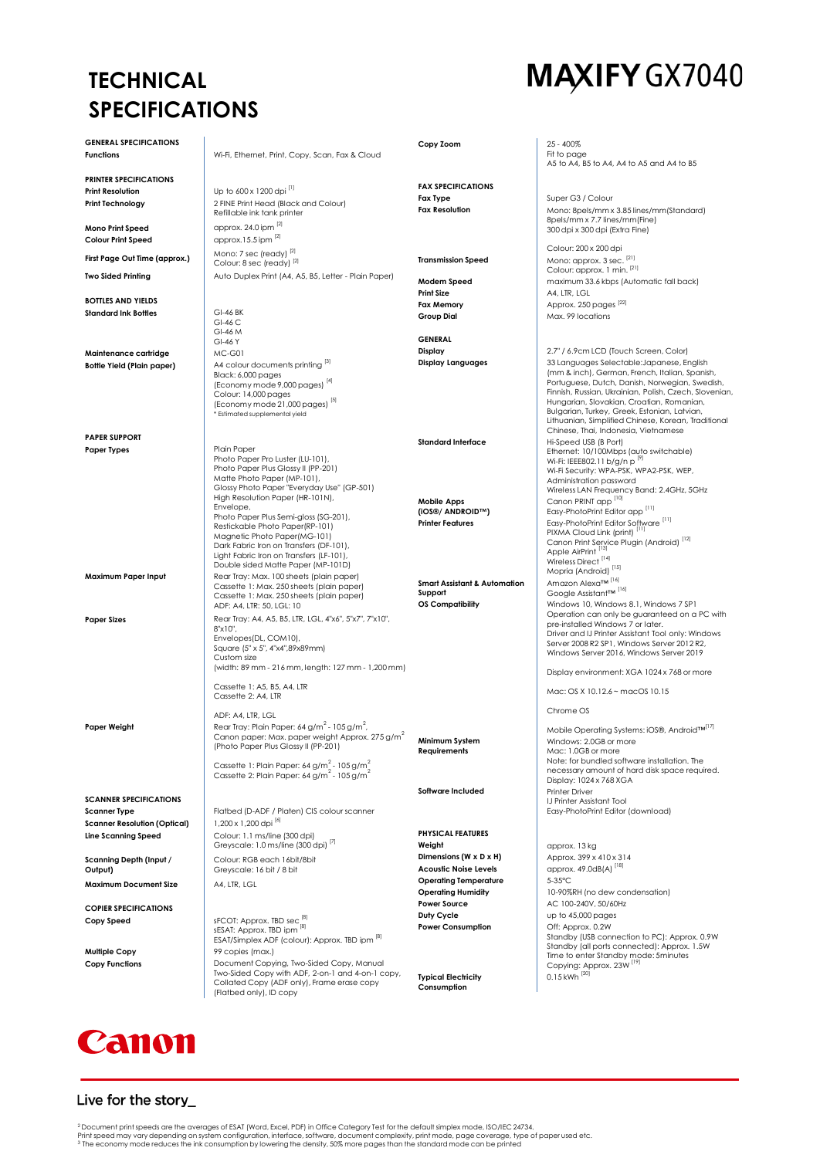## **TECHNICAL SPECIFICATIONS**

## MAXIFY GX7040

| <b>GENERAL SPECIFICATIONS</b>                        |                                                                                                                           |                                                        |                                                                                                     |
|------------------------------------------------------|---------------------------------------------------------------------------------------------------------------------------|--------------------------------------------------------|-----------------------------------------------------------------------------------------------------|
| <b>Functions</b>                                     | Wi-Fi, Ethernet, Print, Copy, Scan, Fax & Cloud                                                                           | Copy Zoom                                              | 25 - 400%<br>Fit to page<br>A5 to A4, B5 to A4, A4 to A5 and A4 to B5                               |
| <b>PRINTER SPECIFICATIONS</b>                        |                                                                                                                           |                                                        |                                                                                                     |
| <b>Print Resolution</b>                              | Up to 600 x 1200 dpi [1]                                                                                                  | <b>FAX SPECIFICATIONS</b>                              |                                                                                                     |
| Print Technology                                     | 2 FINE Print Head (Black and Colour)<br>Refillable ink tank printer                                                       | <b>Fax Type</b><br><b>Fax Resolution</b>               | Super G3 / Colour<br>Mono: 8pels/mm x 3.85 lines/mm(Standard)                                       |
| Mono Print Speed<br><b>Colour Print Speed</b>        | approx. 24.0 ipm [2]<br>approx.15.5 ipm $^{[2]}$                                                                          |                                                        | 8pels/mm x 7.7 lines/mm(Fine)<br>300 dpi x 300 dpi (Extra Fine)                                     |
| First Page Out Time (approx.)                        | Mono: 7 sec (ready) [2]<br>Colour: 8 sec (ready) [2]                                                                      | <b>Transmission Speed</b>                              | Colour: 200 x 200 dpi<br>Mono: approx. 3 sec. [21]                                                  |
| <b>Two Sided Printing</b>                            | Auto Duplex Print (A4, A5, B5, Letter - Plain Paper)                                                                      | Modem Speed                                            | Colour: approx. 1 min. [21]<br>maximum 33.6 kbps (Automatic fall back)                              |
| <b>BOTTLES AND YIELDS</b>                            |                                                                                                                           | <b>Print Size</b>                                      | A4, LTR, LGL                                                                                        |
| <b>Standard Ink Bottles</b>                          | GI-46 BK                                                                                                                  | <b>Fax Memory</b>                                      | Approx. 250 pages [22]                                                                              |
|                                                      | GI-46 C                                                                                                                   | <b>Group Dial</b>                                      | Max. 99 locations                                                                                   |
|                                                      | GI-46 M                                                                                                                   | <b>GENERAL</b>                                         |                                                                                                     |
|                                                      | GI-46 Y<br>MC-G01                                                                                                         | Display                                                | 2.7" / 6.9cm LCD (Touch Screen, Color)                                                              |
| Maintenance cartridge                                | A4 colour documents printing [3]                                                                                          | <b>Display Languages</b>                               | 33 Languages Selectable: Japanese, English                                                          |
| <b>Bottle Yield (Plain paper)</b>                    | Black: 6,000 pages                                                                                                        |                                                        | (mm & inch), German, French, Italian, Spanish,                                                      |
|                                                      | (Economy mode 9,000 pages) [4]                                                                                            |                                                        | Portuguese, Dutch, Danish, Norwegian, Swedish,                                                      |
|                                                      | Colour: 14,000 pages                                                                                                      |                                                        | Finnish, Russian, Ukrainian, Polish, Czech, Slovenian,<br>Hungarian, Slovakian, Croatian, Romanian, |
|                                                      | [5] (Economy mode 21,000 pages) <sup>[5]</sup><br>* Estimated supplemental yield                                          |                                                        | Bulgarian, Turkey, Greek, Estonian, Latvian,                                                        |
|                                                      |                                                                                                                           |                                                        | Lithuanian, Simplified Chinese, Korean, Traditional<br>Chinese, Thai, Indonesia, Vietnamese         |
| <b>PAPER SUPPORT</b>                                 |                                                                                                                           | <b>Standard Interface</b>                              | Hi-Speed USB (B Port)                                                                               |
| <b>Paper Types</b>                                   | Plain Paper<br>Photo Paper Pro Luster (LU-101),                                                                           |                                                        | Ethernet: 10/100Mbps (auto switchable)<br>Wi-Fi: IEEE802.11 b/g/n p [9]                             |
|                                                      | Photo Paper Plus Glossy II (PP-201)                                                                                       |                                                        | Wi-Fi Security: WPA-PSK, WPA2-PSK, WEP,                                                             |
|                                                      | Matte Photo Paper (MP-101),                                                                                               |                                                        | Administration password                                                                             |
|                                                      | Glossy Photo Paper "Everyday Use" (GP-501)<br>High Resolution Paper (HR-101N),                                            |                                                        | Wireless LAN Frequency Band: 2.4GHz, 5GHz<br>Canon PRINT app <sup>[10]</sup>                        |
|                                                      | Envelope,                                                                                                                 | <b>Mobile Apps</b><br>(iOS®/ ANDROID™)                 | Easy-PhotoPrint Editor app <sup>[11]</sup>                                                          |
|                                                      | Photo Paper Plus Semi-gloss (SG-201),<br>Restickable Photo Paper(RP-101)                                                  | <b>Printer Features</b>                                | Easy-PhotoPrint Editor Software <sup>[11]</sup>                                                     |
|                                                      | Magnetic Photo Paper(MG-101)                                                                                              |                                                        | PIXMA Cloud Link (print) <sup>111</sup>                                                             |
|                                                      | Dark Fabric Iron on Transfers (DF-101),                                                                                   |                                                        | Canon Print Service Plugin (Android) <sup>[12]</sup><br>Apple AirPrint <sup>[13]</sup>              |
|                                                      | Light Fabric Iron on Transfers (LF-101),<br>Double sided Matte Paper (MP-101D)                                            |                                                        | Wireless Direct [14]                                                                                |
| Maximum Paper Input                                  | Rear Tray: Max. 100 sheets (plain paper)                                                                                  |                                                        | Mopria (Android) <sup>[15]</sup>                                                                    |
|                                                      | Cassette 1: Max. 250 sheets (plain paper)                                                                                 | <b>Smart Assistant &amp; Automation</b><br>Support     | Amazon Alexa™ <sup>[16]</sup><br>Google Assistant™ <sup>[16]</sup>                                  |
|                                                      | Cassette 1: Max. 250 sheets (plain paper)<br>ADF: A4, LTR: 50, LGL: 10                                                    | <b>OS Compatibility</b>                                | Windows 10, Windows 8.1, Windows 7 SP1                                                              |
| <b>Paper Sizes</b>                                   | Rear Tray: A4, A5, B5, LTR, LGL, 4"x6", 5"x7", 7"x10",                                                                    |                                                        | Operation can only be guaranteed on a PC with                                                       |
|                                                      | 8"x10",                                                                                                                   |                                                        | pre-installed Windows 7 or later.<br>Driver and IJ Printer Assistant Tool only: Windows             |
|                                                      | Envelopes(DL, COM10),                                                                                                     |                                                        | Server 2008 R2 SP1, Windows Server 2012 R2,                                                         |
|                                                      | Square (5" x 5", 4"x4",89x89mm)<br>Custom size                                                                            |                                                        | Windows Server 2016, Windows Server 2019                                                            |
|                                                      | (width: 89 mm - 216 mm, length: 127 mm - 1,200 mm)                                                                        |                                                        | Display environment: XGA 1024 x 768 or more                                                         |
|                                                      | Cassette 1: A5, B5, A4, LTR<br>Cassette 2: A4, LTR                                                                        |                                                        | Mac: OS X 10.12.6 ~ macOS 10.15                                                                     |
|                                                      | ADF: A4, LTR, LGL                                                                                                         |                                                        | Chrome OS                                                                                           |
| Paper Weight                                         | Rear Tray: Plain Paper: 64 g/m <sup>2</sup> - 105 g/m <sup>2</sup> ,                                                      |                                                        | Mobile Operating Systems: iOS®, Android™[17]                                                        |
|                                                      | Canon paper: Max. paper weight Approx. 275 g/m <sup>2</sup>                                                               | Minimum System                                         | Windows: 2.0GB or more                                                                              |
|                                                      | (Photo Paper Plus Glossy II (PP-201)                                                                                      | Requirements                                           | Mac: 1.0GB or more                                                                                  |
|                                                      | Cassette 1: Plain Paper: 64 g/m <sup>2</sup> - 105 g/m <sup>2</sup>                                                       |                                                        | Note: for bundled software installation. The<br>necessary amount of hard disk space required.       |
|                                                      | Cassette 2: Plain Paper: 64 g/m <sup>2</sup> - 105 g/m <sup>2</sup>                                                       |                                                        | Display: 1024 x 768 XGA                                                                             |
|                                                      |                                                                                                                           | Software Included                                      | Printer Driver                                                                                      |
| <b>SCANNER SPECIFICATIONS</b><br><b>Scanner Type</b> |                                                                                                                           |                                                        | IJ Printer Assistant Tool<br>Easy-PhotoPrint Editor (download)                                      |
| <b>Scanner Resolution (Optical)</b>                  | Flatbed (D-ADF / Platen) CIS colour scanner<br>1,200 x 1,200 dpi [6]                                                      |                                                        |                                                                                                     |
| <b>Line Scanning Speed</b>                           | Colour: 1.1 ms/line (300 dpi)                                                                                             | <b>PHYSICAL FEATURES</b>                               |                                                                                                     |
|                                                      | Greyscale: 1.0 ms/line (300 dpi) <sup>[7]</sup>                                                                           | Weight                                                 | approx. 13 kg                                                                                       |
| Scanning Depth (Input /<br>Output)                   | Colour: RGB each 16bit/8bit<br>Greyscale: 16 bit / 8 bit                                                                  | Dimensions (W x D x H)<br><b>Acoustic Noise Levels</b> | Approx. 399 x 410 x 314<br>approx. 49.0dB(A) <sup>[18]</sup>                                        |
| Maximum Document Size                                | A4, LTR, LGL                                                                                                              | <b>Operating Temperature</b>                           | 5-35°C                                                                                              |
|                                                      |                                                                                                                           | <b>Operating Humidity</b>                              | 10-90%RH (no dew condensation)                                                                      |
| <b>COPIER SPECIFICATIONS</b>                         |                                                                                                                           | <b>Power Source</b><br>Duty Cycle                      | AC 100-240V, 50/60Hz<br>up to 45,000 pages                                                          |
| Copy Speed                                           | sFCOT: Approx. TBD sec <sup>[8]</sup><br>sESAT: Approx. TBD ipm [8]                                                       | <b>Power Consumption</b>                               | Off: Approx. 0.2W                                                                                   |
|                                                      | ESAT/Simplex ADF (colour): Approx. TBD ipm [8]                                                                            |                                                        | Standby (USB connection to PC): Approx. 0.9W                                                        |
| <b>Multiple Copy</b>                                 | 99 copies (max.)                                                                                                          |                                                        | Standby (all ports connected): Approx. 1.5W<br>Time to enter Standby mode: 5minutes                 |
| <b>Copy Functions</b>                                | Document Copying, Two-Sided Copy, Manual                                                                                  |                                                        | Copying: Approx. 23W <sup>119</sup>                                                                 |
|                                                      | Two-Sided Copy with ADF, 2-on-1 and 4-on-1 copy,<br>Collated Copy (ADF only), Frame erase copy<br>(Flatbed only), ID copy | <b>Typical Electricity</b><br>Consumption              | $0.15$ kWh <sup>[20]</sup>                                                                          |

## Canon

## Live for the story\_

<sup>2</sup> Document print speeds are the averages of ESAT (Word, Excel, PDF) in Office Category Test for the default simplex mode, ISO/IEC 24734.<br>Print speed may vary depending on system configuration, interface, software, docume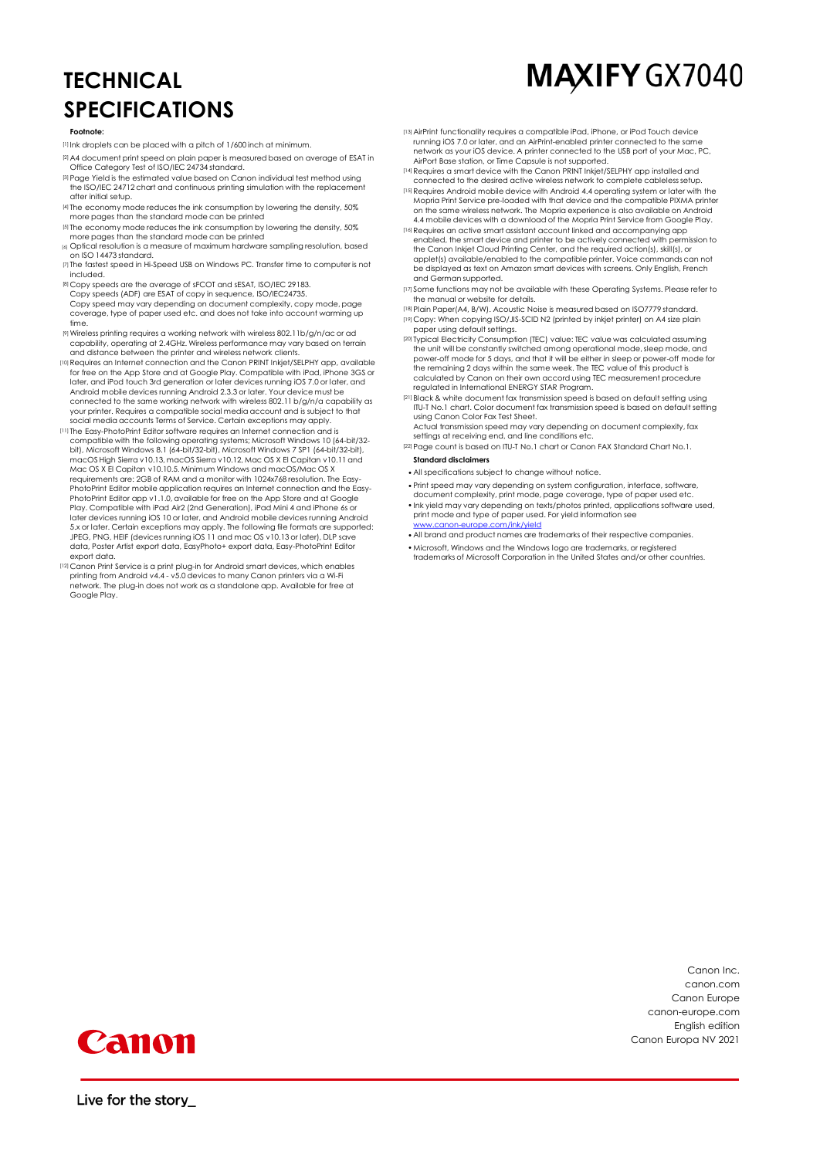## **TECHNICAL SPECIFICATIONS**

## MAXIFY GX7040

#### **Footnote:**

- [1] Ink droplets can be placed with a pitch of 1/600 inch at minimum.
- [2] A4 document print speed on plain paper is measured based on average of ESAT in Office Category Test of ISO/IEC 24734 standard.
- [3]Page Yield is the estimated value based on Canon individual test method using the ISO/IEC 24712 chart and continuous printing simulation with the replacement after initial setup.
- [4] The economy mode reduces the ink consumption by lowering the density, 50% more pages than the standard mode can be printed
- [5] The economy mode reduces the ink consumption by lowering the density, 50% more pages than the standard mode can be printed
- [6] Optical resolution is a measure of maximum hardware sampling resolution, based on ISO 14473 standard.
- [7] The fastest speed in Hi-Speed USB on Windows PC. Transfer time to computer is not included.
- [8] Copy speeds are the average of sFCOT and sESAT, ISO/IEC 29183. Copy speeds (ADF) are ESAT of copy in sequence, ISO/IEC24735. Copy speed may vary depending on document complexity, copy mode, page coverage, type of paper used etc. and does not take into account warming up time.
- [9]Wireless printing requires a working network with wireless 802.11b/g/n/ac or ad capability, operating at 2.4GHz. Wireless performance may vary based on terrain and distance between the printer and wireless network clients.
- [10]Requires an Internet connection and the Canon PRINT Inkjet/SELPHY app, available for free on the App Store and at Google Play. Compatible with iPad, iPhone 3GS or later, and iPod touch 3rd generation or later devices running iOS 7.0 or later, and Android mobile devices running Android 2.3.3 or later. Your device must be connected to the same working network with wireless 802.11 b/g/n/a capability as your printer. Requires a compatible social media account and is subject to that social media accounts Terms of Service. Certain exceptions may apply.
- [11] The Easy-PhotoPrint Editor software requires an Internet connection and is compatible with the following operating systems; Microsoft Windows 10 (64-bit/32 bit), Microsoft Windows 8.1 (64-bit/32-bit), Microsoft Windows 7 SP1 (64-bit/32-bit),<br>macOS High Sierra v10.13, macOS Sierra v10.12, Mac OS X El Capitan v10.11 and Mac OS X El Capitan v10.10.5. Minimum Windows and macOS/Mac OS X requirements are: 2GB of RAM and a monitor with 1024x768 resolution. The Easy-PhotoPrint Editor mobile application requires an Internet connection and the Easy-PhotoPrint Editor app v1.1.0, available for free on the App Store and at Google Play. Compatible with iPad Air2 (2nd Generation), iPad Mini 4 and iPhone 6s or later devices running iOS 10 or later, and Android mobile devices running Android 5.x or later. Certain exceptions may apply. The following file formats are supported: JPEG, PNG, HEIF (devices running iOS 11 and mac OS v10.13 or later), DLP save data, Poster Artist export data, EasyPhoto+ export data, Easy-PhotoPrint Editor export data.
- [12] Canon Print Service is a print plug-in for Android smart devices, which enables printing from Android v4.4 v5.0 devices to many Canon printers via a Wi-Fi network. The plug-in does not work as a standalone app. Available for free at Google Play.
- [13]AirPrint functionality requires a compatible iPad, iPhone, or iPod Touch device running iOS 7.0 or later, and an AirPrint-enabled printer connected to the same network as your iOS device. A printer connected to the USB port of your Mac, PC, AirPort Base station, or Time Capsule is not supported.
- [14]Requires a smart device with the Canon PRINT Inkjet/SELPHY app installed and connected to the desired active wireless network to complete cableless setup.
- [15]Requires Android mobile device with Android 4.4 operating system or later with the Mopria Print Service pre-loaded with that device and the compatible PIXMA printer on the same wireless network. The Mopria experience is also available on Android 4.4 mobile devices with a download of the Mopria Print Service from Google Play.
- [16]Requires an active smart assistant account linked and accompanying app enabled, the smart device and printer to be actively connected with permission to the Canon Inkjet Cloud Printing Center, and the required action(s), skill(s), or applet(s) available/enabled to the compatible printer. Voice commands can not be displayed as text on Amazon smart devices with screens. Only English, French and German supported.
- [17] Some functions may not be available with these Operating Systems. Please refer to the manual or website for details.
- [18]Plain Paper(A4, B/W). Acoustic Noise is measured based on ISO7779 standard. [19] Copy: When copying ISO/JIS-SCID N2 (printed by inkjet printer) on A4 size plain paper using default settings.
- [20] Typical Electricity Consumption (TEC) value: TEC value was calculated assuming the unit will be constantly switched among operational mode, sleep mode, and power-off mode for 5 days, and that it will be either in sleep or power-off mode for the remaining 2 days within the same week. The TEC value of this product is calculated by Canon on their own accord using TEC measurement procedure
- regulated in International ENERGY STAR Program. [21] Black & white document fax transmission speed is based on default setting using ITU-T No.1 chart. Color document fax transmission speed is based on default setting using Canon Color Fax Test Sheet.
- Actual transmission speed may vary depending on document complexity, fax settings at receiving end, and line conditions etc.
- [22] Page count is based on ITU-T No.1 chart or Canon FAX Standard Chart No.1. **Standard disclaimers**
- •All specifications subject to change without notice.
- •Print speed may vary depending on system configuration, interface, software,
- document complexity, print mode, page coverage, type of paper used etc. •Ink yield may vary depending on texts/photos printed, applications software used,
- print mode and type of paper used. For yield information see ww.com<br>m/ink/yiel
- •All brand and product names are trademarks of their respective companies.
- •Microsoft, Windows and the Windows logo are trademarks, or registered trademarks of Microsoft Corporation in the United States and/or other countries.

Canon Inc. canon.com Canon Europe canon-europe.com English edition Canon Europa NV 2021



Live for the story